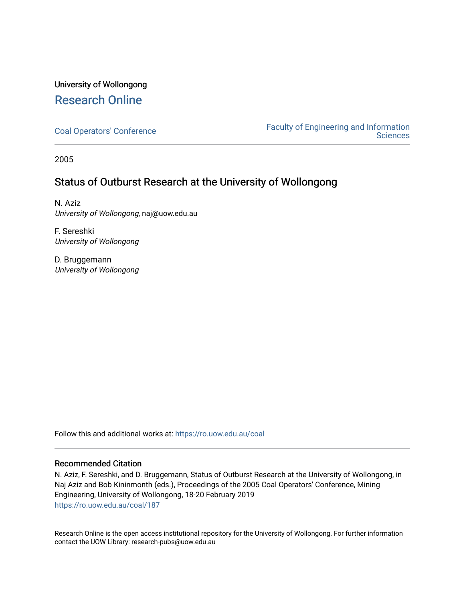# University of Wollongong [Research Online](https://ro.uow.edu.au/)

[Coal Operators' Conference](https://ro.uow.edu.au/coal) [Faculty of Engineering and Information](https://ro.uow.edu.au/eis)  **Sciences** 

2005

# Status of Outburst Research at the University of Wollongong

N. Aziz University of Wollongong, naj@uow.edu.au

F. Sereshki University of Wollongong

D. Bruggemann University of Wollongong

Follow this and additional works at: [https://ro.uow.edu.au/coal](https://ro.uow.edu.au/coal?utm_source=ro.uow.edu.au%2Fcoal%2F187&utm_medium=PDF&utm_campaign=PDFCoverPages) 

## Recommended Citation

N. Aziz, F. Sereshki, and D. Bruggemann, Status of Outburst Research at the University of Wollongong, in Naj Aziz and Bob Kininmonth (eds.), Proceedings of the 2005 Coal Operators' Conference, Mining Engineering, University of Wollongong, 18-20 February 2019 [https://ro.uow.edu.au/coal/187](https://ro.uow.edu.au/coal/187?utm_source=ro.uow.edu.au%2Fcoal%2F187&utm_medium=PDF&utm_campaign=PDFCoverPages) 

Research Online is the open access institutional repository for the University of Wollongong. For further information contact the UOW Library: research-pubs@uow.edu.au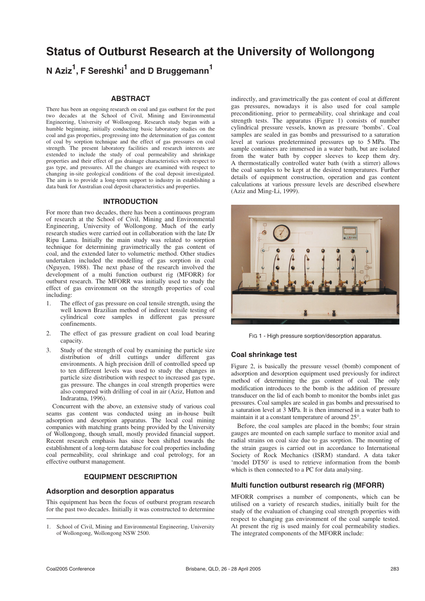# **Status of Outburst Research at the University of Wollongong**

**N Aziz<sup>1</sup> , F Sereshki1 and D Bruggemann1**

#### **ABSTRACT**

There has been an ongoing research on coal and gas outburst for the past two decades at the School of Civil, Mining and Environmental Engineering, University of Wollongong. Research study began with a humble beginning, initially conducting basic laboratory studies on the coal and gas properties, progressing into the determination of gas content of coal by sorption technique and the effect of gas pressures on coal strength. The present laboratory facilities and research interests are extended to include the study of coal permeability and shrinkage properties and their effect of gas drainage characteristics with respect to gas type, and pressures. All the changes are examined with respect to changing in-site geological conditions of the coal deposit investigated. The aim is to provide a long-term support to industry in establishing a data bank for Australian coal deposit characteristics and properties.

#### **INTRODUCTION**

For more than two decades, there has been a continuous program of research at the School of Civil, Mining and Environmental Engineering, University of Wollongong. Much of the early research studies were carried out in collaboration with the late Dr Ripu Lama. Initially the main study was related to sorption technique for determining gravimetrically the gas content of coal, and the extended later to volumetric method. Other studies undertaken included the modelling of gas sorption in coal (Nguyen, 1988). The next phase of the research involved the development of a multi function outburst rig (MFORR) for outburst research. The MFORR was initially used to study the effect of gas environment on the strength properties of coal including:

- 1. The effect of gas pressure on coal tensile strength, using the well known Brazilian method of indirect tensile testing of cylindrical core samples in different gas pressure confinements.
- 2. The effect of gas pressure gradient on coal load bearing capacity.
- 3. Study of the strength of coal by examining the particle size distribution of drill cuttings under different gas environments. A high precision drill of controlled speed up to ten different levels was used to study the changes in particle size distribution with respect to increased gas type, gas pressure. The changes in coal strength properties were also compared with drilling of coal in air (Aziz, Hutton and Indraratna, 1996).

Concurrent with the above, an extensive study of various coal seams gas content was conducted using an in-house built adsorption and desorption apparatus. The local coal mining companies with matching grants being provided by the University of Wollongong, though small, mostly provided financial support. Recent research emphasis has since been shifted towards the establishment of a long-term database for coal properties including coal permeability, coal shrinkage and coal petrology, for an effective outburst management.

### **EQUIPMENT DESCRIPTION**

#### **Adsorption and desorption apparatus**

This equipment has been the focus of outburst program research for the past two decades. Initially it was constructed to determine indirectly, and gravimetrically the gas content of coal at different gas pressures, nowadays it is also used for coal sample preconditioning, prior to permeability, coal shrinkage and coal strength tests. The apparatus (Figure 1) consists of number cylindrical pressure vessels, known as pressure 'bombs'. Coal samples are sealed in gas bombs and pressurised to a saturation level at various predetermined pressures up to 5 MPa. The sample containers are immersed in a water bath, but are isolated from the water bath by copper sleeves to keep them dry. A thermostatically controlled water bath (with a stirrer) allows the coal samples to be kept at the desired temperatures. Further details of equipment construction, operation and gas content calculations at various pressure levels are described elsewhere (Aziz and Ming-Li, 1999).



FIG 1 - High pressure sorption/desorption apparatus.

#### **Coal shrinkage test**

Figure 2, is basically the pressure vessel (bomb) component of adsorption and desorption equipment used previously for indirect method of determining the gas content of coal. The only modification introduces to the bomb is the addition of pressure transducer on the lid of each bomb to monitor the bombs inlet gas pressures. Coal samples are sealed in gas bombs and pressurised to a saturation level at 3 MPa. It is then immersed in a water bath to maintain it at a constant temperature of around 25°.

Before, the coal samples are placed in the bombs; four strain gauges are mounted on each sample surface to monitor axial and radial strains on coal size due to gas sorption. The mounting of the strain gauges is carried out in accordance to International Society of Rock Mechanics (ISRM) standard. A data taker 'model DT50' is used to retrieve information from the bomb which is then connected to a PC for data analysing.

### **Multi function outburst research rig (MFORR)**

MFORR comprises a number of components, which can be utilised on a variety of research studies, initially built for the study of the evaluation of changing coal strength properties with respect to changing gas environment of the coal sample tested. At present the rig is used mainly for coal permeability studies. The integrated components of the MFORR include:

<sup>1.</sup> School of Civil, Mining and Environmental Engineering, University of Wollongong, Wollongong NSW 2500.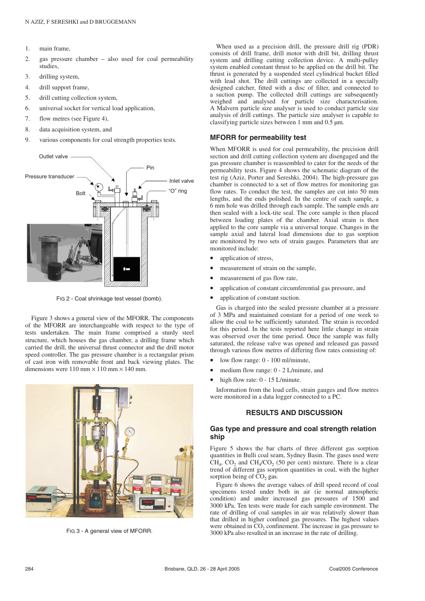- 1. main frame,
- 2. gas pressure chamber also used for coal permeability studies,
- 3. drilling system,
- 4. drill support frame,
- 5. drill cutting collection system,
- 6. universal socket for vertical load application,
- 7. flow metres (see Figure 4),
- 8. data acquisition system, and
- 9. various components for coal strength properties tests.



FIG 2 - Coal shrinkage test vessel (bomb).

Figure 3 shows a general view of the MFORR. The components of the MFORR are interchangeable with respect to the type of tests undertaken. The main frame comprised a sturdy steel structure, which houses the gas chamber, a drilling frame which carried the drill, the universal thrust connector and the drill motor speed controller. The gas pressure chamber is a rectangular prism of cast iron with removable front and back viewing plates. The dimensions were  $110 \text{ mm} \times 110 \text{ mm} \times 140 \text{ mm}$ .



FIG 3 - A general view of MFORR.

When used as a precision drill, the pressure drill rig (PDR) consists of drill frame, drill motor with drill bit, drilling thrust system and drilling cutting collection device. A multi-pulley system enabled constant thrust to be applied on the drill bit. The thrust is generated by a suspended steel cylindrical bucket filled with lead shot. The drill cuttings are collected in a specially designed catcher, fitted with a disc of filter, and connected to a suction pump. The collected drill cuttings are subsequently weighed and analysed for particle size characterisation. A Malvern particle size analyser is used to conduct particle size analysis of drill cuttings. The particle size analyser is capable to classifying particle sizes between 1 mm and 0.5 µm.

#### **MFORR for permeability test**

When MFORR is used for coal permeability, the precision drill section and drill cutting collection system are disengaged and the gas pressure chamber is reassembled to cater for the needs of the permeability tests. Figure 4 shows the schematic diagram of the test rig (Aziz, Porter and Sereshki, 2004). The high-pressure gas chamber is connected to a set of flow metres for monitoring gas flow rates. To conduct the test, the samples are cut into 50 mm lengths, and the ends polished. In the centre of each sample, a 6 mm hole was drilled through each sample. The sample ends are then sealed with a lock-tite seal. The core sample is then placed between loading plates of the chamber. Axial strain is then applied to the core sample via a universal torque. Changes in the sample axial and lateral load dimensions due to gas sorption are monitored by two sets of strain gauges. Parameters that are monitored include:

- application of stress,
- measurement of strain on the sample,
- measurement of gas flow rate,
- application of constant circumferential gas pressure, and
- application of constant suction.

Gas is charged into the sealed pressure chamber at a pressure of 3 MPa and maintained constant for a period of one week to allow the coal to be sufficiently saturated. The strain is recorded for this period. In the tests reported here little change in strain was observed over the time period. Once the sample was fully saturated, the release valve was opened and released gas passed through various flow metres of differing flow rates consisting of:

- low flow range: 0 100 ml/minute,
- medium flow range: 0 2 L/minute, and
- high flow rate: 0 15 L/minute.

Information from the load cells, strain gauges and flow metres were monitored in a data logger connected to a PC.

### **RESULTS AND DISCUSSION**

#### **Gas type and pressure and coal strength relation ship**

Figure 5 shows the bar charts of three different gas sorption quantities in Bulli coal seam, Sydney Basin. The gases used were  $CH<sub>4</sub>$ , CO<sub>2</sub> and CH<sub>4</sub>/CO<sub>2</sub> (50 per cent) mixture. There is a clear trend of different gas sorption quantities in coal, with the higher sorption being of  $CO<sub>2</sub>$  gas.

Figure 6 shows the average values of drill speed record of coal specimens tested under both in air (ie normal atmospheric condition) and under increased gas pressures of 1500 and 3000 kPa. Ten tests were made for each sample environment. The rate of drilling of coal samples in air was relatively slower than that drilled in higher confined gas pressures. The highest values were obtained in  $CO<sub>2</sub>$  confinement. The increase in gas pressure to 3000 kPa also resulted in an increase in the rate of drilling.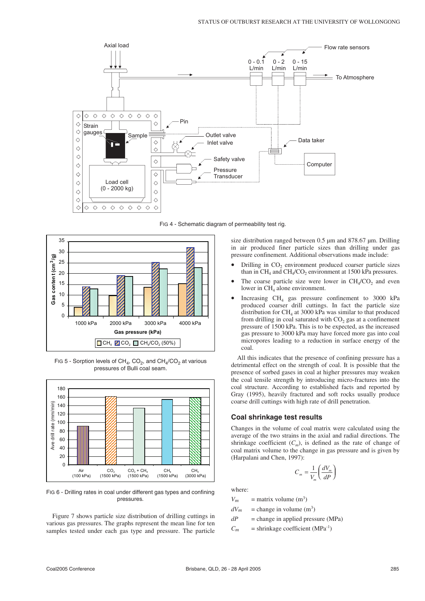

FIG 4 - Schematic diagram of permeability test rig.



FIG 5 - Sorption levels of  $CH_4$ ,  $CO_2$ , and  $CH_4/CO_2$  at various pressures of Bulli coal seam.



FIG 6 - Drilling rates in coal under different gas types and confining pressures.

Figure 7 shows particle size distribution of drilling cuttings in various gas pressures. The graphs represent the mean line for ten samples tested under each gas type and pressure. The particle size distribution ranged between 0.5 um and 878.67 um. Drilling in air produced finer particle sizes than drilling under gas pressure confinement. Additional observations made include:

- Drilling in CO<sub>2</sub> environment produced coarser particle sizes than in  $CH_4$  and  $CH_4/CO_2$  environment at 1500 kPa pressures.
- The coarse particle size were lower in  $CH<sub>4</sub>/CO<sub>2</sub>$  and even lower in  $CH<sub>4</sub>$  alone environment.
- Increasing  $CH<sub>4</sub>$  gas pressure confinement to 3000 kPa produced coarser drill cuttings. In fact the particle size distribution for  $CH<sub>4</sub>$  at 3000 kPa was similar to that produced from drilling in coal saturated with  $CO<sub>2</sub>$  gas at a confinement pressure of 1500 kPa. This is to be expected, as the increased gas pressure to 3000 kPa may have forced more gas into coal micropores leading to a reduction in surface energy of the coal.

All this indicates that the presence of confining pressure has a detrimental effect on the strength of coal. It is possible that the presence of sorbed gases in coal at higher pressures may weaken the coal tensile strength by introducing micro-fractures into the coal structure. According to established facts and reported by Gray (1995), heavily fractured and soft rocks usually produce coarse drill cuttings with high rate of drill penetration.

#### **Coal shrinkage test results**

Changes in the volume of coal matrix were calculated using the average of the two strains in the axial and radial directions. The shrinkage coefficient  $(C_m)$ , is defined as the rate of change of coal matrix volume to the change in gas pressure and is given by (Harpalani and Chen, 1997):

$$
C_m = \frac{1}{V_m} \left( \frac{dV_m}{dP} \right)
$$

where:

 $V_m$  = matrix volume (m<sup>3</sup>)

 $dV_m$  = change in volume (m<sup>3</sup>)

 $dP$  = change in applied pressure (MPa)

 $C_m$  = shrinkage coefficient (MPa<sup>-1</sup>)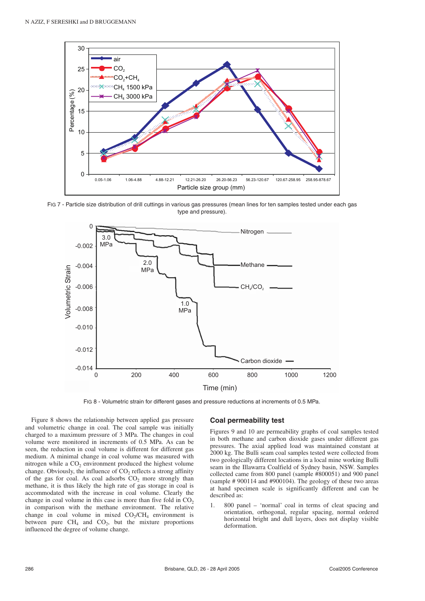

FIG 7 - Particle size distribution of drill cuttings in various gas pressures (mean lines for ten samples tested under each gas type and pressure).



FIG 8 - Volumetric strain for different gases and pressure reductions at increments of 0.5 MPa.

Figure 8 shows the relationship between applied gas pressure and volumetric change in coal. The coal sample was initially charged to a maximum pressure of 3 MPa. The changes in coal volume were monitored in increments of 0.5 MPa. As can be seen, the reduction in coal volume is different for different gas medium. A minimal change in coal volume was measured with nitrogen while a  $CO<sub>2</sub>$  environment produced the highest volume change. Obviously, the influence of  $CO<sub>2</sub>$  reflects a strong affinity of the gas for coal. As coal adsorbs  $CO<sub>2</sub>$  more strongly than methane, it is thus likely the high rate of gas storage in coal is accommodated with the increase in coal volume. Clearly the change in coal volume in this case is more than five fold in  $CO<sub>2</sub>$ in comparison with the methane environment. The relative change in coal volume in mixed  $CO_2/CH_4$  environment is between pure  $CH_4$  and  $CO_2$ , but the mixture proportions influenced the degree of volume change.

#### **Coal permeability test**

Figures 9 and 10 are permeability graphs of coal samples tested in both methane and carbon dioxide gases under different gas pressures. The axial applied load was maintained constant at 2000 kg. The Bulli seam coal samples tested were collected from two geologically different locations in a local mine working Bulli seam in the Illawarra Coalfield of Sydney basin, NSW. Samples collected came from 800 panel (sample #800051) and 900 panel (sample # 900114 and #900104). The geology of these two areas at hand specimen scale is significantly different and can be described as:

1. 800 panel – 'normal' coal in terms of cleat spacing and orientation, orthogonal, regular spacing, normal ordered horizontal bright and dull layers, does not display visible deformation.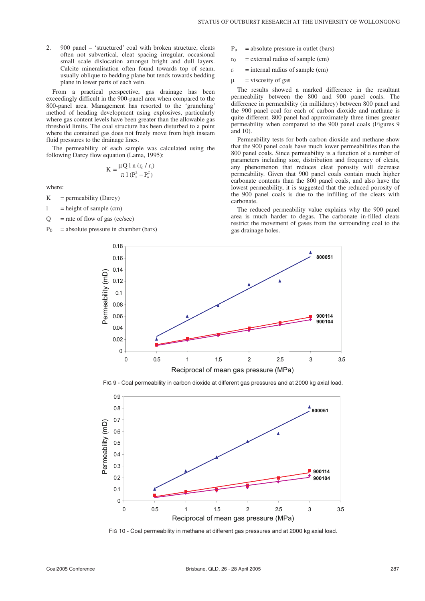2. 900 panel – 'structured' coal with broken structure, cleats often not subvertical, cleat spacing irregular, occasional small scale dislocation amongst bright and dull layers. Calcite mineralisation often found towards top of seam, usually oblique to bedding plane but tends towards bedding plane in lower parts of each vein.

From a practical perspective, gas drainage has been exceedingly difficult in the 900-panel area when compared to the 800-panel area. Management has resorted to the 'grunching' method of heading development using explosives, particularly where gas content levels have been greater than the allowable gas threshold limits. The coal structure has been disturbed to a point where the contained gas does not freely move from high inseam fluid pressures to the drainage lines.

The permeability of each sample was calculated using the following Darcy flow equation (Lama, 1995):

$$
K = \frac{\mu Q \ln (r_0 / r_i)}{\pi \ln (P_0^2 - P_u^2)}
$$

where:

- $K$  = permeability (Darcy)
- $l =$  height of sample (cm)
- $Q =$  rate of flow of gas (cc/sec)
- $P_0$  = absolute pressure in chamber (bars)
- $P_u$  = absolute pressure in outlet (bars)
- $r_0$  = external radius of sample (cm)
- $r_i$  = internal radius of sample (cm)
- $\mu$  = viscosity of gas

The results showed a marked difference in the resultant permeability between the 800 and 900 panel coals. The difference in permeability (in millidarcy) between 800 panel and the 900 panel coal for each of carbon dioxide and methane is quite different. 800 panel had approximately three times greater permeability when compared to the 900 panel coals (Figures 9 and 10).

Permeability tests for both carbon dioxide and methane show that the 900 panel coals have much lower permeabilities than the 800 panel coals. Since permeability is a function of a number of parameters including size, distribution and frequency of cleats, any phenomenon that reduces cleat porosity will decrease permeability. Given that 900 panel coals contain much higher carbonate contents than the 800 panel coals, and also have the lowest permeability, it is suggested that the reduced porosity of the 900 panel coals is due to the infilling of the cleats with carbonate.

The reduced permeability value explains why the 900 panel area is much harder to degas. The carbonate in-filled cleats restrict the movement of gases from the surrounding coal to the gas drainage holes.



FIG 9 - Coal permeability in carbon dioxide at different gas pressures and at 2000 kg axial load.



FIG 10 - Coal permeability in methane at different gas pressures and at 2000 kg axial load.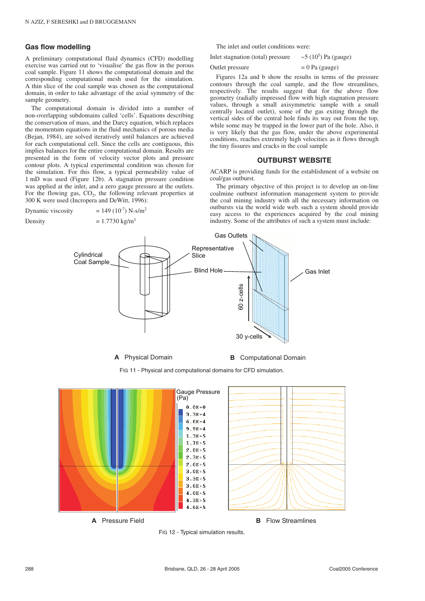#### **Gas flow modelling**

A preliminary computational fluid dynamics (CFD) modelling exercise was carried out to 'visualise' the gas flow in the porous coal sample. Figure 11 shows the computational domain and the corresponding computational mesh used for the simulation. A thin slice of the coal sample was chosen as the computational domain, in order to take advantage of the axial symmetry of the sample geometry.

The computational domain is divided into a number of non-overlapping subdomains called 'cells'. Equations describing the conservation of mass, and the Darcy equation, which replaces the momentum equations in the fluid mechanics of porous media (Bejan, 1984), are solved iteratively until balances are achieved for each computational cell. Since the cells are contiguous, this implies balances for the entire computational domain. Results are presented in the form of velocity vector plots and pressure contour plots. A typical experimental condition was chosen for the simulation. For this flow, a typical permeability value of 1 mD was used (Figure 12b). A stagnation pressure condition was applied at the inlet, and a zero gauge pressure at the outlets. For the flowing gas,  $CO<sub>2</sub>$ , the following relevant properties at 300 K were used (Incropera and DeWitt, 1996):

$$
Dynamic viscosity = 149 (10-7) N-s/m2
$$

Density

$$
= 1.7730 \text{ kg/m}^2
$$

The inlet and outlet conditions were:

Inlet stagnation (total) pressure  $\sim$ 5 (10<sup>5</sup>) Pa (gauge)

Outlet pressure

$$
= 0
$$
 Pa (gauge)

Figures 12a and b show the results in terms of the pressure contours through the coal sample, and the flow streamlines, respectively. The results suggest that for the above flow geometry (radially impressed flow with high stagnation pressure values, through a small axisymmetric sample with a small centrally located outlet), some of the gas exiting through the vertical sides of the central hole finds its way out from the top, while some may be trapped in the lower part of the hole. Also, it is very likely that the gas flow, under the above experimental conditions, reaches extremely high velocities as it flows through the tiny fissures and cracks in the coal sample

## **OUTBURST WEBSITE**

ACARP is providing funds for the establishment of a website on coal/gas outburst.

The primary objective of this project is to develop an on-line coalmine outburst information management system to provide the coal mining industry with all the necessary information on outbursts via the world wide web. such a system should provide easy access to the experiences acquired by the coal mining industry. Some of the attributes of such a system must include:



**A** Physical Domain **B** Computational Domain

FIG 11 - Physical and computational domains for CFD simulation.



FIG 12 - Typical simulation results.